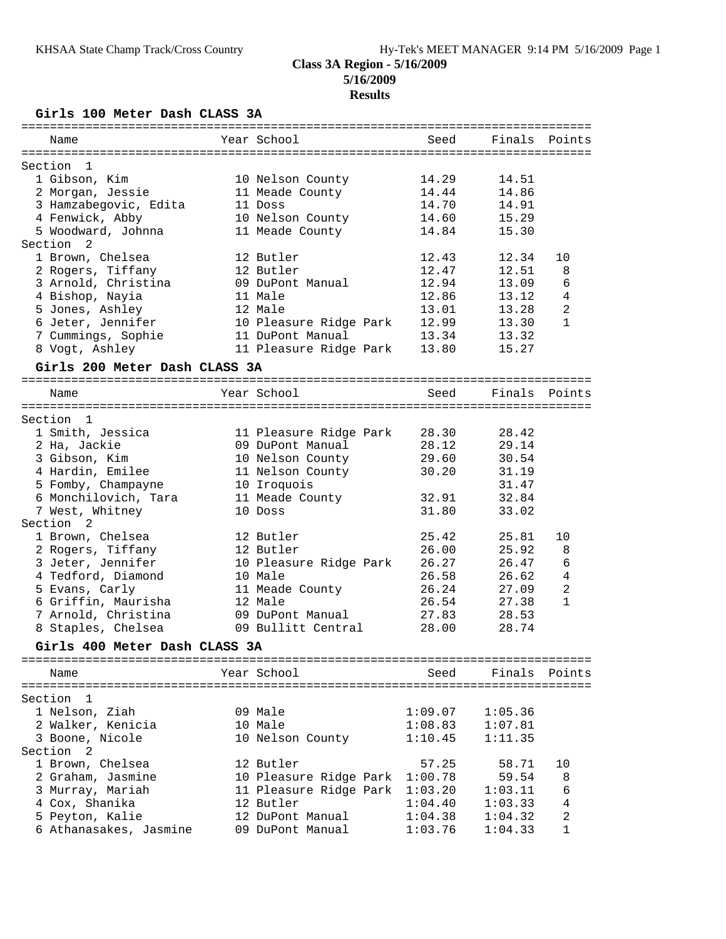## **Results**

**Girls 100 Meter Dash CLASS 3A**

| Year School<br>Seed<br>Finals<br>Points<br>Name<br>Section<br>-1<br>1 Gibson, Kim<br>10 Nelson County<br>14.29<br>14.51<br>14.86<br>2 Morgan, Jessie<br>11 Meade County<br>14.44<br>14.70<br>3 Hamzabegovic, Edita<br>14.91<br>11 Doss<br>4 Fenwick, Abby<br>15.29<br>10 Nelson County<br>14.60<br>5 Woodward, Johnna<br>11 Meade County<br>14.84<br>15.30<br>Section<br>2<br>1 Brown, Chelsea<br>12.34<br>12 Butler<br>12.43<br>10<br>12.47<br>12.51<br>2 Rogers, Tiffany<br>12 Butler<br>8<br>3 Arnold, Christina<br>12.94<br>09 DuPont Manual<br>13.09<br>6<br>4 Bishop, Nayia<br>12.86<br>11 Male<br>13.12<br>4<br>2<br>5 Jones, Ashley<br>12 Male<br>13.01<br>13.28<br>$\mathbf{1}$<br>6 Jeter, Jennifer<br>10 Pleasure Ridge Park<br>12.99<br>13.30<br>7 Cummings, Sophie<br>11 DuPont Manual<br>13.34<br>13.32<br>15.27<br>8 Vogt, Ashley<br>11 Pleasure Ridge Park<br>13.80<br>Girls 200 Meter Dash CLASS 3A<br>Year School<br>Finals<br>Points<br>Seed<br>Name<br>Section 1<br>1 Smith, Jessica<br>11 Pleasure Ridge Park<br>28.30<br>28.42<br>28.12<br>29.14<br>2 Ha, Jackie<br>09 DuPont Manual<br>29.60<br>3 Gibson, Kim<br>10 Nelson County<br>30.54<br>4 Hardin, Emilee<br>30.20<br>11 Nelson County<br>31.19<br>5 Fomby, Champayne<br>10 Iroquois<br>31.47<br>32.84<br>6 Monchilovich, Tara<br>11 Meade County<br>32.91<br>7 West, Whitney<br>31.80<br>10 Doss<br>33.02<br>Section<br>2<br>1 Brown, Chelsea<br>25.42<br>25.81<br>12 Butler<br>10<br>26.00<br>2 Rogers, Tiffany<br>12 Butler<br>25.92<br>8<br>3 Jeter, Jennifer<br>26.27<br>6<br>10 Pleasure Ridge Park<br>26.47<br>4 Tedford, Diamond<br>26.58<br>$\overline{4}$<br>10 Male<br>26.62<br>5 Evans, Carly<br>26.24<br>2<br>11 Meade County<br>27.09<br>$\mathbf{1}$<br>6 Griffin, Maurisha<br>12 Male<br>26.54<br>27.38<br>7 Arnold, Christina<br>27.83<br>28.53<br>09 DuPont Manual<br>8 Staples, Chelsea<br>09 Bullitt Central<br>28.00<br>28.74<br>Girls 400 Meter Dash CLASS 3A<br>Year School<br>Finals<br>Seed<br>Points<br>Name<br>Section<br>-1<br>09 Male<br>1 Nelson, Ziah<br>1:09.07<br>1:05.36<br>2 Walker, Kenicia<br>10 Male<br>1:08.83<br>1:07.81<br>3 Boone, Nicole<br>1:11.35<br>10 Nelson County<br>1:10.45<br>Section <sub>2</sub><br>1 Brown, Chelsea<br>12 Butler<br>57.25<br>58.71<br>10<br>10 Pleasure Ridge Park 1:00.78<br>2 Graham, Jasmine<br>59.54<br>8<br>6<br>3 Murray, Mariah<br>11 Pleasure Ridge Park 1:03.20<br>1:03.11<br>4<br>4 Cox, Shanika<br>12 Butler<br>1:04.40<br>1:03.33<br>$\overline{c}$<br>5 Peyton, Kalie<br>1:04.38<br>12 DuPont Manual<br>1:04.32<br>6 Athanasakes, Jasmine<br>09 DuPont Manual<br>1:03.76<br>1<br>1:04.33 | =========== |  |  |  |
|---------------------------------------------------------------------------------------------------------------------------------------------------------------------------------------------------------------------------------------------------------------------------------------------------------------------------------------------------------------------------------------------------------------------------------------------------------------------------------------------------------------------------------------------------------------------------------------------------------------------------------------------------------------------------------------------------------------------------------------------------------------------------------------------------------------------------------------------------------------------------------------------------------------------------------------------------------------------------------------------------------------------------------------------------------------------------------------------------------------------------------------------------------------------------------------------------------------------------------------------------------------------------------------------------------------------------------------------------------------------------------------------------------------------------------------------------------------------------------------------------------------------------------------------------------------------------------------------------------------------------------------------------------------------------------------------------------------------------------------------------------------------------------------------------------------------------------------------------------------------------------------------------------------------------------------------------------------------------------------------------------------------------------------------------------------------------------------------------------------------------------------------------------------------------------------------------------------------------------------------------------------------------------------------------------------------------------------------------------------------------------------------------------------------------------------------------------------------------------------------------------------------------------------------------------------------------------------------------------------------------------------------------------|-------------|--|--|--|
|                                                                                                                                                                                                                                                                                                                                                                                                                                                                                                                                                                                                                                                                                                                                                                                                                                                                                                                                                                                                                                                                                                                                                                                                                                                                                                                                                                                                                                                                                                                                                                                                                                                                                                                                                                                                                                                                                                                                                                                                                                                                                                                                                                                                                                                                                                                                                                                                                                                                                                                                                                                                                                                         |             |  |  |  |
|                                                                                                                                                                                                                                                                                                                                                                                                                                                                                                                                                                                                                                                                                                                                                                                                                                                                                                                                                                                                                                                                                                                                                                                                                                                                                                                                                                                                                                                                                                                                                                                                                                                                                                                                                                                                                                                                                                                                                                                                                                                                                                                                                                                                                                                                                                                                                                                                                                                                                                                                                                                                                                                         |             |  |  |  |
|                                                                                                                                                                                                                                                                                                                                                                                                                                                                                                                                                                                                                                                                                                                                                                                                                                                                                                                                                                                                                                                                                                                                                                                                                                                                                                                                                                                                                                                                                                                                                                                                                                                                                                                                                                                                                                                                                                                                                                                                                                                                                                                                                                                                                                                                                                                                                                                                                                                                                                                                                                                                                                                         |             |  |  |  |
|                                                                                                                                                                                                                                                                                                                                                                                                                                                                                                                                                                                                                                                                                                                                                                                                                                                                                                                                                                                                                                                                                                                                                                                                                                                                                                                                                                                                                                                                                                                                                                                                                                                                                                                                                                                                                                                                                                                                                                                                                                                                                                                                                                                                                                                                                                                                                                                                                                                                                                                                                                                                                                                         |             |  |  |  |
|                                                                                                                                                                                                                                                                                                                                                                                                                                                                                                                                                                                                                                                                                                                                                                                                                                                                                                                                                                                                                                                                                                                                                                                                                                                                                                                                                                                                                                                                                                                                                                                                                                                                                                                                                                                                                                                                                                                                                                                                                                                                                                                                                                                                                                                                                                                                                                                                                                                                                                                                                                                                                                                         |             |  |  |  |
|                                                                                                                                                                                                                                                                                                                                                                                                                                                                                                                                                                                                                                                                                                                                                                                                                                                                                                                                                                                                                                                                                                                                                                                                                                                                                                                                                                                                                                                                                                                                                                                                                                                                                                                                                                                                                                                                                                                                                                                                                                                                                                                                                                                                                                                                                                                                                                                                                                                                                                                                                                                                                                                         |             |  |  |  |
|                                                                                                                                                                                                                                                                                                                                                                                                                                                                                                                                                                                                                                                                                                                                                                                                                                                                                                                                                                                                                                                                                                                                                                                                                                                                                                                                                                                                                                                                                                                                                                                                                                                                                                                                                                                                                                                                                                                                                                                                                                                                                                                                                                                                                                                                                                                                                                                                                                                                                                                                                                                                                                                         |             |  |  |  |
|                                                                                                                                                                                                                                                                                                                                                                                                                                                                                                                                                                                                                                                                                                                                                                                                                                                                                                                                                                                                                                                                                                                                                                                                                                                                                                                                                                                                                                                                                                                                                                                                                                                                                                                                                                                                                                                                                                                                                                                                                                                                                                                                                                                                                                                                                                                                                                                                                                                                                                                                                                                                                                                         |             |  |  |  |
|                                                                                                                                                                                                                                                                                                                                                                                                                                                                                                                                                                                                                                                                                                                                                                                                                                                                                                                                                                                                                                                                                                                                                                                                                                                                                                                                                                                                                                                                                                                                                                                                                                                                                                                                                                                                                                                                                                                                                                                                                                                                                                                                                                                                                                                                                                                                                                                                                                                                                                                                                                                                                                                         |             |  |  |  |
|                                                                                                                                                                                                                                                                                                                                                                                                                                                                                                                                                                                                                                                                                                                                                                                                                                                                                                                                                                                                                                                                                                                                                                                                                                                                                                                                                                                                                                                                                                                                                                                                                                                                                                                                                                                                                                                                                                                                                                                                                                                                                                                                                                                                                                                                                                                                                                                                                                                                                                                                                                                                                                                         |             |  |  |  |
|                                                                                                                                                                                                                                                                                                                                                                                                                                                                                                                                                                                                                                                                                                                                                                                                                                                                                                                                                                                                                                                                                                                                                                                                                                                                                                                                                                                                                                                                                                                                                                                                                                                                                                                                                                                                                                                                                                                                                                                                                                                                                                                                                                                                                                                                                                                                                                                                                                                                                                                                                                                                                                                         |             |  |  |  |
|                                                                                                                                                                                                                                                                                                                                                                                                                                                                                                                                                                                                                                                                                                                                                                                                                                                                                                                                                                                                                                                                                                                                                                                                                                                                                                                                                                                                                                                                                                                                                                                                                                                                                                                                                                                                                                                                                                                                                                                                                                                                                                                                                                                                                                                                                                                                                                                                                                                                                                                                                                                                                                                         |             |  |  |  |
|                                                                                                                                                                                                                                                                                                                                                                                                                                                                                                                                                                                                                                                                                                                                                                                                                                                                                                                                                                                                                                                                                                                                                                                                                                                                                                                                                                                                                                                                                                                                                                                                                                                                                                                                                                                                                                                                                                                                                                                                                                                                                                                                                                                                                                                                                                                                                                                                                                                                                                                                                                                                                                                         |             |  |  |  |
|                                                                                                                                                                                                                                                                                                                                                                                                                                                                                                                                                                                                                                                                                                                                                                                                                                                                                                                                                                                                                                                                                                                                                                                                                                                                                                                                                                                                                                                                                                                                                                                                                                                                                                                                                                                                                                                                                                                                                                                                                                                                                                                                                                                                                                                                                                                                                                                                                                                                                                                                                                                                                                                         |             |  |  |  |
|                                                                                                                                                                                                                                                                                                                                                                                                                                                                                                                                                                                                                                                                                                                                                                                                                                                                                                                                                                                                                                                                                                                                                                                                                                                                                                                                                                                                                                                                                                                                                                                                                                                                                                                                                                                                                                                                                                                                                                                                                                                                                                                                                                                                                                                                                                                                                                                                                                                                                                                                                                                                                                                         |             |  |  |  |
|                                                                                                                                                                                                                                                                                                                                                                                                                                                                                                                                                                                                                                                                                                                                                                                                                                                                                                                                                                                                                                                                                                                                                                                                                                                                                                                                                                                                                                                                                                                                                                                                                                                                                                                                                                                                                                                                                                                                                                                                                                                                                                                                                                                                                                                                                                                                                                                                                                                                                                                                                                                                                                                         |             |  |  |  |
|                                                                                                                                                                                                                                                                                                                                                                                                                                                                                                                                                                                                                                                                                                                                                                                                                                                                                                                                                                                                                                                                                                                                                                                                                                                                                                                                                                                                                                                                                                                                                                                                                                                                                                                                                                                                                                                                                                                                                                                                                                                                                                                                                                                                                                                                                                                                                                                                                                                                                                                                                                                                                                                         |             |  |  |  |
|                                                                                                                                                                                                                                                                                                                                                                                                                                                                                                                                                                                                                                                                                                                                                                                                                                                                                                                                                                                                                                                                                                                                                                                                                                                                                                                                                                                                                                                                                                                                                                                                                                                                                                                                                                                                                                                                                                                                                                                                                                                                                                                                                                                                                                                                                                                                                                                                                                                                                                                                                                                                                                                         |             |  |  |  |
|                                                                                                                                                                                                                                                                                                                                                                                                                                                                                                                                                                                                                                                                                                                                                                                                                                                                                                                                                                                                                                                                                                                                                                                                                                                                                                                                                                                                                                                                                                                                                                                                                                                                                                                                                                                                                                                                                                                                                                                                                                                                                                                                                                                                                                                                                                                                                                                                                                                                                                                                                                                                                                                         |             |  |  |  |
|                                                                                                                                                                                                                                                                                                                                                                                                                                                                                                                                                                                                                                                                                                                                                                                                                                                                                                                                                                                                                                                                                                                                                                                                                                                                                                                                                                                                                                                                                                                                                                                                                                                                                                                                                                                                                                                                                                                                                                                                                                                                                                                                                                                                                                                                                                                                                                                                                                                                                                                                                                                                                                                         |             |  |  |  |
|                                                                                                                                                                                                                                                                                                                                                                                                                                                                                                                                                                                                                                                                                                                                                                                                                                                                                                                                                                                                                                                                                                                                                                                                                                                                                                                                                                                                                                                                                                                                                                                                                                                                                                                                                                                                                                                                                                                                                                                                                                                                                                                                                                                                                                                                                                                                                                                                                                                                                                                                                                                                                                                         |             |  |  |  |
|                                                                                                                                                                                                                                                                                                                                                                                                                                                                                                                                                                                                                                                                                                                                                                                                                                                                                                                                                                                                                                                                                                                                                                                                                                                                                                                                                                                                                                                                                                                                                                                                                                                                                                                                                                                                                                                                                                                                                                                                                                                                                                                                                                                                                                                                                                                                                                                                                                                                                                                                                                                                                                                         |             |  |  |  |
|                                                                                                                                                                                                                                                                                                                                                                                                                                                                                                                                                                                                                                                                                                                                                                                                                                                                                                                                                                                                                                                                                                                                                                                                                                                                                                                                                                                                                                                                                                                                                                                                                                                                                                                                                                                                                                                                                                                                                                                                                                                                                                                                                                                                                                                                                                                                                                                                                                                                                                                                                                                                                                                         |             |  |  |  |
|                                                                                                                                                                                                                                                                                                                                                                                                                                                                                                                                                                                                                                                                                                                                                                                                                                                                                                                                                                                                                                                                                                                                                                                                                                                                                                                                                                                                                                                                                                                                                                                                                                                                                                                                                                                                                                                                                                                                                                                                                                                                                                                                                                                                                                                                                                                                                                                                                                                                                                                                                                                                                                                         |             |  |  |  |
|                                                                                                                                                                                                                                                                                                                                                                                                                                                                                                                                                                                                                                                                                                                                                                                                                                                                                                                                                                                                                                                                                                                                                                                                                                                                                                                                                                                                                                                                                                                                                                                                                                                                                                                                                                                                                                                                                                                                                                                                                                                                                                                                                                                                                                                                                                                                                                                                                                                                                                                                                                                                                                                         |             |  |  |  |
|                                                                                                                                                                                                                                                                                                                                                                                                                                                                                                                                                                                                                                                                                                                                                                                                                                                                                                                                                                                                                                                                                                                                                                                                                                                                                                                                                                                                                                                                                                                                                                                                                                                                                                                                                                                                                                                                                                                                                                                                                                                                                                                                                                                                                                                                                                                                                                                                                                                                                                                                                                                                                                                         |             |  |  |  |
|                                                                                                                                                                                                                                                                                                                                                                                                                                                                                                                                                                                                                                                                                                                                                                                                                                                                                                                                                                                                                                                                                                                                                                                                                                                                                                                                                                                                                                                                                                                                                                                                                                                                                                                                                                                                                                                                                                                                                                                                                                                                                                                                                                                                                                                                                                                                                                                                                                                                                                                                                                                                                                                         |             |  |  |  |
|                                                                                                                                                                                                                                                                                                                                                                                                                                                                                                                                                                                                                                                                                                                                                                                                                                                                                                                                                                                                                                                                                                                                                                                                                                                                                                                                                                                                                                                                                                                                                                                                                                                                                                                                                                                                                                                                                                                                                                                                                                                                                                                                                                                                                                                                                                                                                                                                                                                                                                                                                                                                                                                         |             |  |  |  |
|                                                                                                                                                                                                                                                                                                                                                                                                                                                                                                                                                                                                                                                                                                                                                                                                                                                                                                                                                                                                                                                                                                                                                                                                                                                                                                                                                                                                                                                                                                                                                                                                                                                                                                                                                                                                                                                                                                                                                                                                                                                                                                                                                                                                                                                                                                                                                                                                                                                                                                                                                                                                                                                         |             |  |  |  |
|                                                                                                                                                                                                                                                                                                                                                                                                                                                                                                                                                                                                                                                                                                                                                                                                                                                                                                                                                                                                                                                                                                                                                                                                                                                                                                                                                                                                                                                                                                                                                                                                                                                                                                                                                                                                                                                                                                                                                                                                                                                                                                                                                                                                                                                                                                                                                                                                                                                                                                                                                                                                                                                         |             |  |  |  |
|                                                                                                                                                                                                                                                                                                                                                                                                                                                                                                                                                                                                                                                                                                                                                                                                                                                                                                                                                                                                                                                                                                                                                                                                                                                                                                                                                                                                                                                                                                                                                                                                                                                                                                                                                                                                                                                                                                                                                                                                                                                                                                                                                                                                                                                                                                                                                                                                                                                                                                                                                                                                                                                         |             |  |  |  |
|                                                                                                                                                                                                                                                                                                                                                                                                                                                                                                                                                                                                                                                                                                                                                                                                                                                                                                                                                                                                                                                                                                                                                                                                                                                                                                                                                                                                                                                                                                                                                                                                                                                                                                                                                                                                                                                                                                                                                                                                                                                                                                                                                                                                                                                                                                                                                                                                                                                                                                                                                                                                                                                         |             |  |  |  |
|                                                                                                                                                                                                                                                                                                                                                                                                                                                                                                                                                                                                                                                                                                                                                                                                                                                                                                                                                                                                                                                                                                                                                                                                                                                                                                                                                                                                                                                                                                                                                                                                                                                                                                                                                                                                                                                                                                                                                                                                                                                                                                                                                                                                                                                                                                                                                                                                                                                                                                                                                                                                                                                         |             |  |  |  |
|                                                                                                                                                                                                                                                                                                                                                                                                                                                                                                                                                                                                                                                                                                                                                                                                                                                                                                                                                                                                                                                                                                                                                                                                                                                                                                                                                                                                                                                                                                                                                                                                                                                                                                                                                                                                                                                                                                                                                                                                                                                                                                                                                                                                                                                                                                                                                                                                                                                                                                                                                                                                                                                         |             |  |  |  |
|                                                                                                                                                                                                                                                                                                                                                                                                                                                                                                                                                                                                                                                                                                                                                                                                                                                                                                                                                                                                                                                                                                                                                                                                                                                                                                                                                                                                                                                                                                                                                                                                                                                                                                                                                                                                                                                                                                                                                                                                                                                                                                                                                                                                                                                                                                                                                                                                                                                                                                                                                                                                                                                         |             |  |  |  |
|                                                                                                                                                                                                                                                                                                                                                                                                                                                                                                                                                                                                                                                                                                                                                                                                                                                                                                                                                                                                                                                                                                                                                                                                                                                                                                                                                                                                                                                                                                                                                                                                                                                                                                                                                                                                                                                                                                                                                                                                                                                                                                                                                                                                                                                                                                                                                                                                                                                                                                                                                                                                                                                         |             |  |  |  |
|                                                                                                                                                                                                                                                                                                                                                                                                                                                                                                                                                                                                                                                                                                                                                                                                                                                                                                                                                                                                                                                                                                                                                                                                                                                                                                                                                                                                                                                                                                                                                                                                                                                                                                                                                                                                                                                                                                                                                                                                                                                                                                                                                                                                                                                                                                                                                                                                                                                                                                                                                                                                                                                         |             |  |  |  |
|                                                                                                                                                                                                                                                                                                                                                                                                                                                                                                                                                                                                                                                                                                                                                                                                                                                                                                                                                                                                                                                                                                                                                                                                                                                                                                                                                                                                                                                                                                                                                                                                                                                                                                                                                                                                                                                                                                                                                                                                                                                                                                                                                                                                                                                                                                                                                                                                                                                                                                                                                                                                                                                         |             |  |  |  |
|                                                                                                                                                                                                                                                                                                                                                                                                                                                                                                                                                                                                                                                                                                                                                                                                                                                                                                                                                                                                                                                                                                                                                                                                                                                                                                                                                                                                                                                                                                                                                                                                                                                                                                                                                                                                                                                                                                                                                                                                                                                                                                                                                                                                                                                                                                                                                                                                                                                                                                                                                                                                                                                         |             |  |  |  |
|                                                                                                                                                                                                                                                                                                                                                                                                                                                                                                                                                                                                                                                                                                                                                                                                                                                                                                                                                                                                                                                                                                                                                                                                                                                                                                                                                                                                                                                                                                                                                                                                                                                                                                                                                                                                                                                                                                                                                                                                                                                                                                                                                                                                                                                                                                                                                                                                                                                                                                                                                                                                                                                         |             |  |  |  |
|                                                                                                                                                                                                                                                                                                                                                                                                                                                                                                                                                                                                                                                                                                                                                                                                                                                                                                                                                                                                                                                                                                                                                                                                                                                                                                                                                                                                                                                                                                                                                                                                                                                                                                                                                                                                                                                                                                                                                                                                                                                                                                                                                                                                                                                                                                                                                                                                                                                                                                                                                                                                                                                         |             |  |  |  |
|                                                                                                                                                                                                                                                                                                                                                                                                                                                                                                                                                                                                                                                                                                                                                                                                                                                                                                                                                                                                                                                                                                                                                                                                                                                                                                                                                                                                                                                                                                                                                                                                                                                                                                                                                                                                                                                                                                                                                                                                                                                                                                                                                                                                                                                                                                                                                                                                                                                                                                                                                                                                                                                         |             |  |  |  |
|                                                                                                                                                                                                                                                                                                                                                                                                                                                                                                                                                                                                                                                                                                                                                                                                                                                                                                                                                                                                                                                                                                                                                                                                                                                                                                                                                                                                                                                                                                                                                                                                                                                                                                                                                                                                                                                                                                                                                                                                                                                                                                                                                                                                                                                                                                                                                                                                                                                                                                                                                                                                                                                         |             |  |  |  |
|                                                                                                                                                                                                                                                                                                                                                                                                                                                                                                                                                                                                                                                                                                                                                                                                                                                                                                                                                                                                                                                                                                                                                                                                                                                                                                                                                                                                                                                                                                                                                                                                                                                                                                                                                                                                                                                                                                                                                                                                                                                                                                                                                                                                                                                                                                                                                                                                                                                                                                                                                                                                                                                         |             |  |  |  |
|                                                                                                                                                                                                                                                                                                                                                                                                                                                                                                                                                                                                                                                                                                                                                                                                                                                                                                                                                                                                                                                                                                                                                                                                                                                                                                                                                                                                                                                                                                                                                                                                                                                                                                                                                                                                                                                                                                                                                                                                                                                                                                                                                                                                                                                                                                                                                                                                                                                                                                                                                                                                                                                         |             |  |  |  |
|                                                                                                                                                                                                                                                                                                                                                                                                                                                                                                                                                                                                                                                                                                                                                                                                                                                                                                                                                                                                                                                                                                                                                                                                                                                                                                                                                                                                                                                                                                                                                                                                                                                                                                                                                                                                                                                                                                                                                                                                                                                                                                                                                                                                                                                                                                                                                                                                                                                                                                                                                                                                                                                         |             |  |  |  |
|                                                                                                                                                                                                                                                                                                                                                                                                                                                                                                                                                                                                                                                                                                                                                                                                                                                                                                                                                                                                                                                                                                                                                                                                                                                                                                                                                                                                                                                                                                                                                                                                                                                                                                                                                                                                                                                                                                                                                                                                                                                                                                                                                                                                                                                                                                                                                                                                                                                                                                                                                                                                                                                         |             |  |  |  |
|                                                                                                                                                                                                                                                                                                                                                                                                                                                                                                                                                                                                                                                                                                                                                                                                                                                                                                                                                                                                                                                                                                                                                                                                                                                                                                                                                                                                                                                                                                                                                                                                                                                                                                                                                                                                                                                                                                                                                                                                                                                                                                                                                                                                                                                                                                                                                                                                                                                                                                                                                                                                                                                         |             |  |  |  |
|                                                                                                                                                                                                                                                                                                                                                                                                                                                                                                                                                                                                                                                                                                                                                                                                                                                                                                                                                                                                                                                                                                                                                                                                                                                                                                                                                                                                                                                                                                                                                                                                                                                                                                                                                                                                                                                                                                                                                                                                                                                                                                                                                                                                                                                                                                                                                                                                                                                                                                                                                                                                                                                         |             |  |  |  |
|                                                                                                                                                                                                                                                                                                                                                                                                                                                                                                                                                                                                                                                                                                                                                                                                                                                                                                                                                                                                                                                                                                                                                                                                                                                                                                                                                                                                                                                                                                                                                                                                                                                                                                                                                                                                                                                                                                                                                                                                                                                                                                                                                                                                                                                                                                                                                                                                                                                                                                                                                                                                                                                         |             |  |  |  |
|                                                                                                                                                                                                                                                                                                                                                                                                                                                                                                                                                                                                                                                                                                                                                                                                                                                                                                                                                                                                                                                                                                                                                                                                                                                                                                                                                                                                                                                                                                                                                                                                                                                                                                                                                                                                                                                                                                                                                                                                                                                                                                                                                                                                                                                                                                                                                                                                                                                                                                                                                                                                                                                         |             |  |  |  |
|                                                                                                                                                                                                                                                                                                                                                                                                                                                                                                                                                                                                                                                                                                                                                                                                                                                                                                                                                                                                                                                                                                                                                                                                                                                                                                                                                                                                                                                                                                                                                                                                                                                                                                                                                                                                                                                                                                                                                                                                                                                                                                                                                                                                                                                                                                                                                                                                                                                                                                                                                                                                                                                         |             |  |  |  |
|                                                                                                                                                                                                                                                                                                                                                                                                                                                                                                                                                                                                                                                                                                                                                                                                                                                                                                                                                                                                                                                                                                                                                                                                                                                                                                                                                                                                                                                                                                                                                                                                                                                                                                                                                                                                                                                                                                                                                                                                                                                                                                                                                                                                                                                                                                                                                                                                                                                                                                                                                                                                                                                         |             |  |  |  |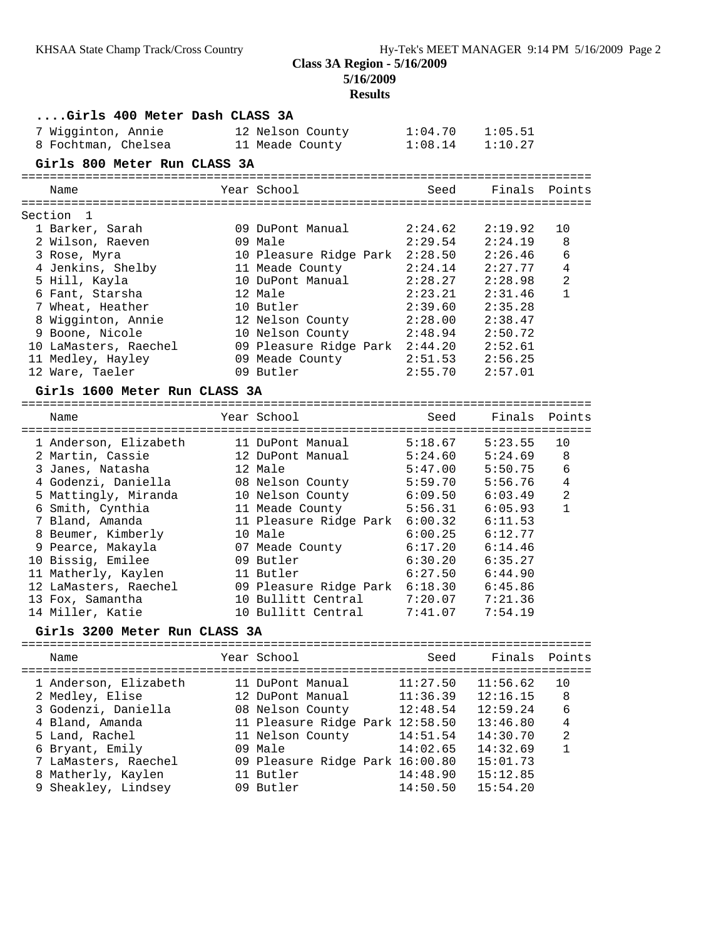**5/16/2009**

# **Results**

| Girls 400 Meter Dash CLASS 3A       |                                 |          |          |                |
|-------------------------------------|---------------------------------|----------|----------|----------------|
| 7 Wigginton, Annie                  | 12 Nelson County                | 1:04.70  | 1:05.51  |                |
| 8 Fochtman, Chelsea 11 Meade County |                                 | 1:08.14  | 1:10.27  |                |
| Girls 800 Meter Run CLASS 3A        |                                 |          |          |                |
|                                     |                                 |          |          |                |
| Name                                | Year School                     | Seed     | Finals   | Points         |
| Section 1                           |                                 |          |          |                |
| 1 Barker, Sarah                     | 09 DuPont Manual                | 2:24.62  | 2:19.92  | 10             |
| 2 Wilson, Raeven                    | 09 Male                         | 2:29.54  | 2:24.19  | 8              |
| 3 Rose, Myra                        | 10 Pleasure Ridge Park 2:28.50  |          | 2:26.46  | 6              |
| 4 Jenkins, Shelby                   | 11 Meade County                 | 2:24.14  | 2:27.77  | 4              |
| 5 Hill, Kayla                       | 10 DuPont Manual                | 2:28.27  | 2:28.98  | $\overline{c}$ |
| 6 Fant, Starsha                     | 12 Male                         | 2:23.21  | 2:31.46  | $\mathbf{1}$   |
| 7 Wheat, Heather                    | 10 Butler                       | 2:39.60  | 2:35.28  |                |
| 8 Wigginton, Annie                  | 12 Nelson County                | 2:28.00  | 2:38.47  |                |
| 9 Boone, Nicole                     | 10 Nelson County                | 2:48.94  | 2:50.72  |                |
| 10 LaMasters, Raechel               | 09 Pleasure Ridge Park 2:44.20  |          | 2:52.61  |                |
| 11 Medley, Hayley                   | 09 Meade County                 | 2:51.53  | 2:56.25  |                |
| 12 Ware, Taeler                     | 09 Butler                       | 2:55.70  | 2:57.01  |                |
|                                     |                                 |          |          |                |
| Girls 1600 Meter Run CLASS 3A       |                                 |          |          |                |
| Name                                | Year School                     | Seed     | Finals   | Points         |
|                                     |                                 |          |          |                |
| 1 Anderson, Elizabeth               | 11 DuPont Manual                | 5:18.67  | 5:23.55  | 10             |
| 2 Martin, Cassie                    | 12 DuPont Manual                | 5:24.60  | 5:24.69  | 8              |
| 3 Janes, Natasha                    | 12 Male                         | 5:47.00  | 5:50.75  | 6              |
| 4 Godenzi, Daniella                 | 08 Nelson County                | 5:59.70  | 5:56.76  | 4              |
| 5 Mattingly, Miranda                | 10 Nelson County                | 6:09.50  | 6:03.49  | $\overline{c}$ |
| 6 Smith, Cynthia                    | 11 Meade County                 | 5:56.31  | 6:05.93  | $\mathbf{1}$   |
| 7 Bland, Amanda                     | 11 Pleasure Ridge Park 6:00.32  |          | 6:11.53  |                |
| 8 Beumer, Kimberly                  | 10 Male                         | 6:00.25  | 6:12.77  |                |
| 9 Pearce, Makayla                   | 07 Meade County                 | 6:17.20  | 6:14.46  |                |
| 10 Bissig, Emilee                   | 09 Butler                       | 6:30.20  | 6:35.27  |                |
| 11 Matherly, Kaylen                 | 11 Butler                       | 6:27.50  | 6:44.90  |                |
| 12 LaMasters, Raechel               | 09 Pleasure Ridge Park 6:18.30  |          | 6:45.86  |                |
| 13 Fox, Samantha                    | 10 Bullitt Central              | 7:20.07  | 7:21.36  |                |
| 14 Miller, Katie                    | 10 Bullitt Central              | 7:41.07  | 7:54.19  |                |
| Girls 3200 Meter Run CLASS 3A       |                                 |          |          |                |
|                                     |                                 |          |          |                |
| Name                                | Year School                     | Seed     | Finals   | Points         |
| 1 Anderson, Elizabeth               | 11 DuPont Manual                | 11:27.50 | 11:56.62 | 10             |
| 2 Medley, Elise                     | 12 DuPont Manual                | 11:36.39 | 12:16.15 | 8              |
| 3 Godenzi, Daniella                 | 08 Nelson County                | 12:48.54 | 12:59.24 | 6              |
| 4 Bland, Amanda                     | 11 Pleasure Ridge Park 12:58.50 |          | 13:46.80 | $\overline{4}$ |
| 5 Land, Rachel                      | 11 Nelson County                | 14:51.54 | 14:30.70 | $\sqrt{2}$     |
| 6 Bryant, Emily                     | 09 Male                         | 14:02.65 | 14:32.69 | $\mathbf{1}$   |
| 7 LaMasters, Raechel                | 09 Pleasure Ridge Park 16:00.80 |          | 15:01.73 |                |
| 8 Matherly, Kaylen                  | 11 Butler                       | 14:48.90 | 15:12.85 |                |
| 9 Sheakley, Lindsey                 | 09 Butler                       | 14:50.50 | 15:54.20 |                |
|                                     |                                 |          |          |                |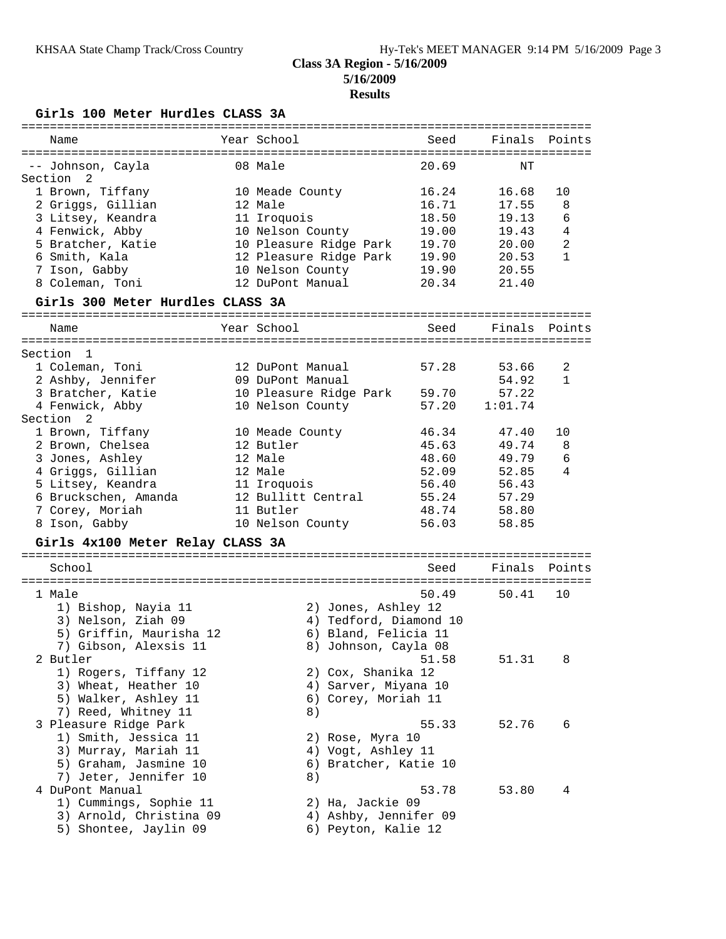## **Results**

**Girls 100 Meter Hurdles CLASS 3A**

| Name                                    | Year School                       | Seed           | Finals Points  |                |
|-----------------------------------------|-----------------------------------|----------------|----------------|----------------|
|                                         |                                   |                |                |                |
| -- Johnson, Cayla<br>Section 2          | 08 Male                           | 20.69          | ΝT             |                |
| 1 Brown, Tiffany                        | 10 Meade County                   | 16.24          | 16.68          | 10             |
| 2 Griggs, Gillian                       | 12 Male                           | 16.71          | 17.55          | 8              |
| 3 Litsey, Keandra                       | 11 Iroquois                       | 18.50          | 19.13          | 6              |
| 4 Fenwick, Abby                         | 10 Nelson County                  | 19.00          | 19.43          | 4              |
| 5 Bratcher, Katie                       | 10 Pleasure Ridge Park            | 19.70          | 20.00          | $\overline{c}$ |
| 6 Smith, Kala                           | 12 Pleasure Ridge Park            | 19.90          | 20.53          | 1              |
| 7 Ison, Gabby                           | 10 Nelson County                  | 19.90          | 20.55          |                |
| 8 Coleman, Toni                         | 12 DuPont Manual                  | 20.34          | 21.40          |                |
| Girls 300 Meter Hurdles CLASS 3A        |                                   |                |                |                |
| Name                                    | Year School                       | Seed           | Finals         | Points         |
|                                         |                                   |                |                |                |
| Section 1                               |                                   |                |                |                |
| 1 Coleman, Toni                         | 12 DuPont Manual                  | 57.28          | 53.66          | 2              |
| 2 Ashby, Jennifer                       | 09 DuPont Manual                  |                | 54.92          | 1              |
| 3 Bratcher, Katie                       | 10 Pleasure Ridge Park            | 59.70          | 57.22          |                |
| 4 Fenwick, Abby                         | 10 Nelson County                  | 57.20          | 1:01.74        |                |
| Section <sub>2</sub>                    |                                   |                |                |                |
| 1 Brown, Tiffany                        | 10 Meade County                   | 46.34          | 47.40          | 10             |
| 2 Brown, Chelsea                        | 12 Butler                         | 45.63          | 49.74          | 8              |
| 3 Jones, Ashley                         | 12 Male                           | 48.60          | 49.79          | 6              |
| 4 Griggs, Gillian                       | 12 Male                           | 52.09          | 52.85          | 4              |
| 5 Litsey, Keandra                       | 11 Iroquois<br>12 Bullitt Central | 56.40<br>55.24 | 56.43          |                |
| 6 Bruckschen, Amanda<br>7 Corey, Moriah | 11 Butler                         | 48.74          | 57.29<br>58.80 |                |
| 8 Ison, Gabby                           | 10 Nelson County                  | 56.03          | 58.85          |                |
|                                         |                                   |                |                |                |
| Girls 4x100 Meter Relay CLASS 3A        |                                   |                |                |                |
| School                                  |                                   | Seed           | Finals Points  |                |
| 1 Male                                  |                                   | 50.49          | 50.41          | 10             |
| 1) Bishop, Nayia 11                     | 2) Jones, Ashley 12               |                |                |                |
| 3) Nelson, Ziah 09                      | 4) Tedford, Diamond 10            |                |                |                |
| 5) Griffin, Maurisha 12                 | 6) Bland, Felicia 11              |                |                |                |
| 7) Gibson, Alexsis 11                   | 8) Johnson, Cayla 08              |                |                |                |
| 2 Butler                                |                                   | 51.58          | 51.31          | 8              |
| 1) Rogers, Tiffany 12                   | 2) Cox, Shanika 12                |                |                |                |
| 3) Wheat, Heather 10                    | 4) Sarver, Miyana 10              |                |                |                |
| 5) Walker, Ashley 11                    | 6) Corey, Moriah 11               |                |                |                |
| 7) Reed, Whitney 11                     | 8)                                |                |                |                |
| 3 Pleasure Ridge Park                   |                                   | 55.33          | 52.76          | 6              |
| 1) Smith, Jessica 11                    | 2) Rose, Myra 10                  |                |                |                |
| 3) Murray, Mariah 11                    | 4) Vogt, Ashley 11                |                |                |                |
| 5) Graham, Jasmine 10                   | 6) Bratcher, Katie 10             |                |                |                |
| 7) Jeter, Jennifer 10                   | 8)                                |                |                |                |
| 4 DuPont Manual                         |                                   | 53.78          | 53.80          | 4              |
| 1) Cummings, Sophie 11                  | 2) Ha, Jackie 09                  |                |                |                |
| 3) Arnold, Christina 09                 | 4) Ashby, Jennifer 09             |                |                |                |
| 5) Shontee, Jaylin 09                   | 6) Peyton, Kalie 12               |                |                |                |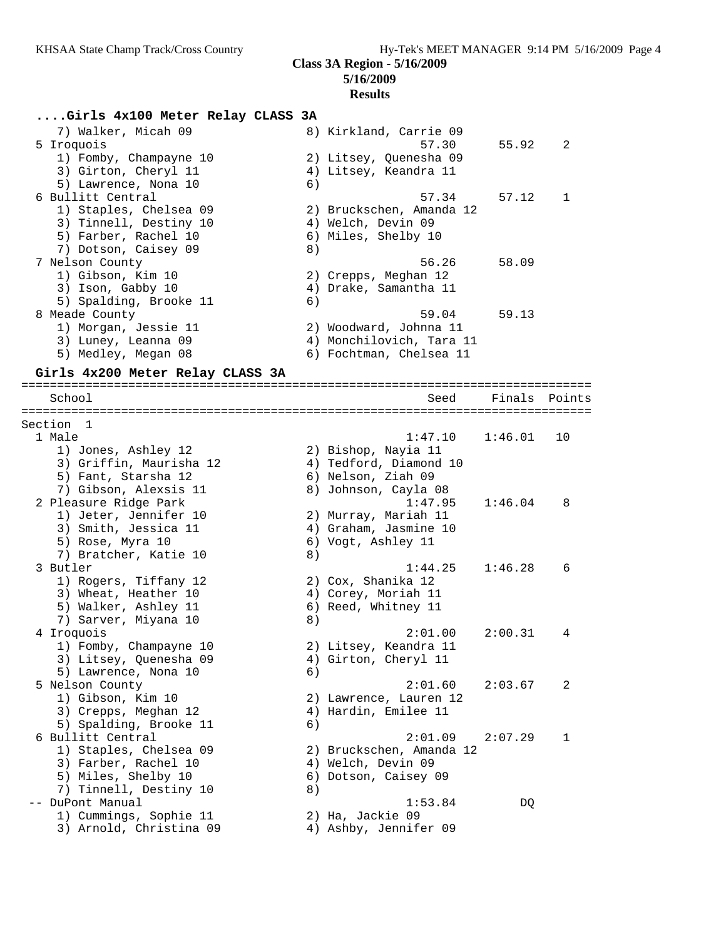## **Results**

## **....Girls 4x100 Meter Relay CLASS 3A**

| 7) Walker, Micah 09    | 8) Kirkland, Carrie 09   |       |                |
|------------------------|--------------------------|-------|----------------|
| 5 Iroquois             | 57.30                    | 55.92 | $\overline{2}$ |
| 1) Fomby, Champayne 10 | 2) Litsey, Quenesha 09   |       |                |
| 3) Girton, Cheryl 11   | 4) Litsey, Keandra 11    |       |                |
| 5) Lawrence, Nona 10   | 6)                       |       |                |
| 6 Bullitt Central      | 57.34                    | 57.12 | $\mathbf{1}$   |
| 1) Staples, Chelsea 09 | 2) Bruckschen, Amanda 12 |       |                |
| 3) Tinnell, Destiny 10 | 4) Welch, Devin 09       |       |                |
| 5) Farber, Rachel 10   | 6) Miles, Shelby 10      |       |                |
| 7) Dotson, Caisey 09   | 8)                       |       |                |
| 7 Nelson County        | 56.26                    | 58.09 |                |
| 1) Gibson, Kim 10      | 2) Crepps, Meghan 12     |       |                |
| 3) Ison, Gabby 10      | 4) Drake, Samantha 11    |       |                |
| 5) Spalding, Brooke 11 | 6)                       |       |                |
| 8 Meade County         | 59.04                    | 59.13 |                |
| 1) Morgan, Jessie 11   | 2) Woodward, Johnna 11   |       |                |
| 3) Luney, Leanna 09    | 4) Monchilovich, Tara 11 |       |                |
| 5) Medley, Megan 08    | 6) Fochtman, Chelsea 11  |       |                |
|                        |                          |       |                |

## **Girls 4x200 Meter Relay CLASS 3A**

================================================================================ School Seed Finals Points ================================================================================ Section 1 1 Male 1:47.10 1:46.01 10 1) Jones, Ashley 12 2) Bishop, Nayia 11 3) Griffin, Maurisha 12 4) Tedford, Diamond 10 5) Fant, Starsha 12 6) Nelson, Ziah 09 7) Gibson, Alexsis 11 and 8) Johnson, Cayla 08 2 Pleasure Ridge Park 1:47.95 1:46.04 8 1) Jeter, Jennifer 10 2) Murray, Mariah 11 3) Smith, Jessica 11 4) Graham, Jasmine 10 5) Rose, Myra 10 6) Vogt, Ashley 11 7) Bratcher, Katie 10 8) 3 Butler 1:44.25 1:46.28 6 1) Rogers, Tiffany 12 2) Cox, Shanika 12 3) Wheat, Heather 10 4) Corey, Moriah 11 5) Walker, Ashley 11 6) Reed, Whitney 11 7) Sarver, Miyana 10 (8) 4 Iroquois 2:01.00 2:00.31 4 1) Fomby, Champayne 10 2) Litsey, Keandra 11 3) Litsey, Quenesha 09  $\hskip1cm$  4) Girton, Cheryl 11 5) Lawrence, Nona 10 (6) 5 Nelson County 2:01.60 2:03.67 2 1) Gibson, Kim 10 2) Lawrence, Lauren 12 3) Crepps, Meghan 12 (4) Hardin, Emilee 11 5) Spalding, Brooke 11 (6) 6 Bullitt Central 2:01.09 2:07.29 1 1) Staples, Chelsea 09 2) Bruckschen, Amanda 12 3) Farber, Rachel 10 4) Welch, Devin 09 5) Miles, Shelby 10 6) Dotson, Caisey 09 7) Tinnell, Destiny 10 8) -- DuPont Manual 1:53.84 DQ 1) Cummings, Sophie 11 2) Ha, Jackie 09 3) Arnold, Christina 09 4) Ashby, Jennifer 09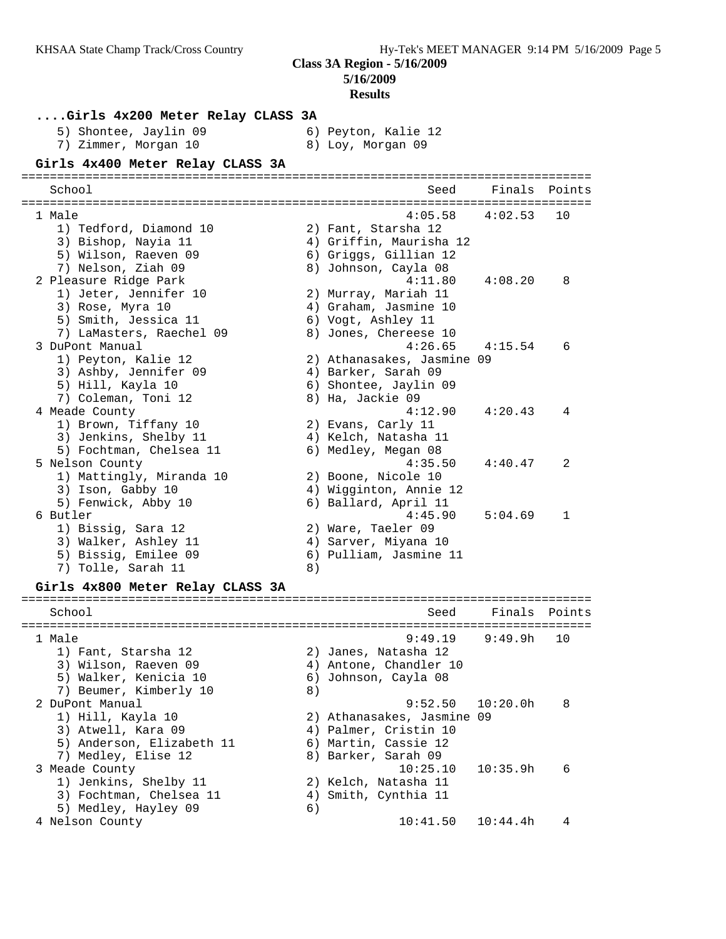**5/16/2009**

#### **Results**

## **....Girls 4x200 Meter Relay CLASS 3A**

5) Shontee, Jaylin 09 6) Peyton, Kalie 12 7) Zimmer, Morgan 10 8) Loy, Morgan 09

| Girls 4x400 Meter Relay CLASS 3A                                                                                       |    |                                                                                                            |          |        |
|------------------------------------------------------------------------------------------------------------------------|----|------------------------------------------------------------------------------------------------------------|----------|--------|
| School                                                                                                                 |    | Seed                                                                                                       | Finals   | Points |
| 1 Male<br>1) Tedford, Diamond 10<br>3) Bishop, Nayia 11<br>5) Wilson, Raeven 09<br>7) Nelson, Ziah 09                  |    | 4:05.58<br>2) Fant, Starsha 12<br>4) Griffin, Maurisha 12<br>6) Griggs, Gillian 12<br>8) Johnson, Cayla 08 | 4:02.53  | 10     |
| 2 Pleasure Ridge Park<br>1) Jeter, Jennifer 10<br>3) Rose, Myra 10<br>5) Smith, Jessica 11<br>7) LaMasters, Raechel 09 |    | 4:11.80<br>2) Murray, Mariah 11<br>4) Graham, Jasmine 10<br>6) Vogt, Ashley 11<br>8) Jones, Chereese 10    | 4:08.20  | 8      |
| 3 DuPont Manual<br>1) Peyton, Kalie 12<br>3) Ashby, Jennifer 09<br>5) Hill, Kayla 10<br>7) Coleman, Toni 12            |    | 4:26.65<br>2) Athanasakes, Jasmine 09<br>4) Barker, Sarah 09<br>6) Shontee, Jaylin 09<br>8) Ha, Jackie 09  | 4:15.54  | 6      |
| 4 Meade County<br>1) Brown, Tiffany 10<br>3) Jenkins, Shelby 11<br>5) Fochtman, Chelsea 11                             |    | 4:12.90<br>2) Evans, Carly 11<br>4) Kelch, Natasha 11<br>6) Medley, Megan 08                               | 4:20.43  | 4      |
| 5 Nelson County<br>1) Mattingly, Miranda 10<br>3) Ison, Gabby 10<br>5) Fenwick, Abby 10                                |    | 4:35.50<br>2) Boone, Nicole 10<br>4) Wigginton, Annie 12<br>6) Ballard, April 11                           | 4:40.47  | 2      |
| 6 Butler<br>1) Bissig, Sara 12<br>3) Walker, Ashley 11<br>5) Bissig, Emilee 09<br>7) Tolle, Sarah 11                   | 8) | 4:45.90<br>2) Ware, Taeler 09<br>4) Sarver, Miyana 10<br>6) Pulliam, Jasmine 11                            | 5:04.69  | 1      |
| Girls 4x800 Meter Relay CLASS 3A                                                                                       |    |                                                                                                            |          |        |
| School                                                                                                                 |    | Seed                                                                                                       | Finals   | Points |
| 1 Male<br>1) Fant, Starsha 12<br>3) Wilson, Raeven 09<br>5) Walker, Kenicia 10<br>7) Beumer, Kimberly 10               | 8) | 9:49.19<br>2) Janes, Natasha 12<br>4) Antone, Chandler 10<br>6) Johnson, Cayla 08                          | 9:49.9h  | 10     |
| 2 DuPont Manual                                                                                                        |    | 9:52.50                                                                                                    | 10:20.0h | 8      |

 1) Hill, Kayla 10 2) Athanasakes, Jasmine 09 3) Atwell, Kara 09 4) Palmer, Cristin 10 5) Anderson, Elizabeth 11  $\qquad \qquad$  6) Martin, Cassie 12 7) Medley, Elise 12 8) Barker, Sarah 09

 1) Jenkins, Shelby 11 2) Kelch, Natasha 11 3) Fochtman, Chelsea 11  $\qquad \qquad$  4) Smith, Cynthia 11

5) Medley, Hayley 09 6)

3 Meade County 10:25.10 10:35.9h 6

4 Nelson County 10:41.50 10:44.4h 4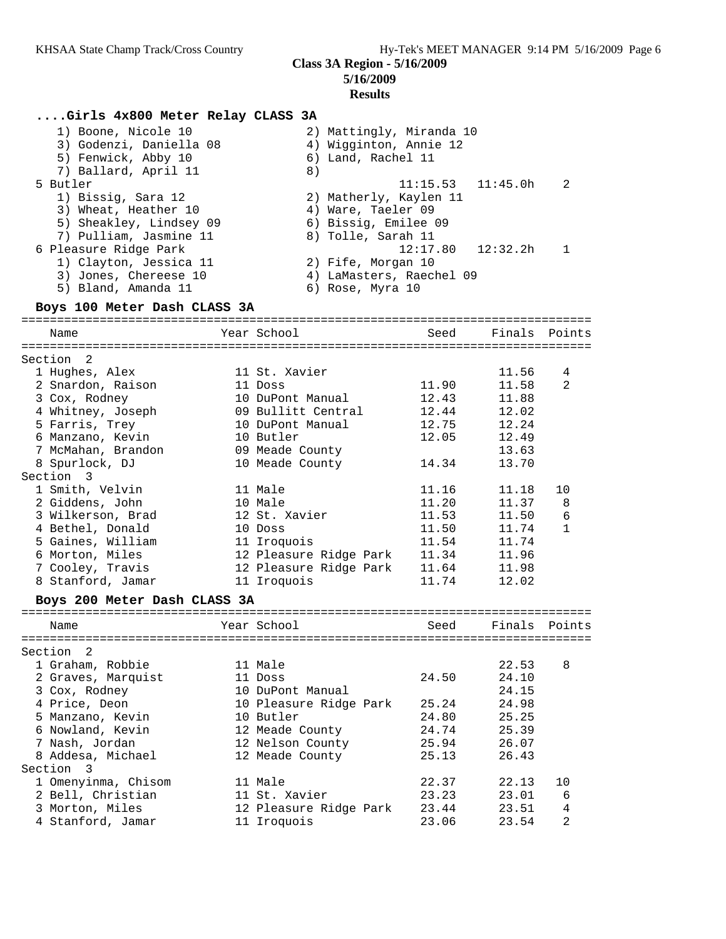### **Results**

## **....Girls 4x800 Meter Relay CLASS 3A**

| 1) Boone, Nicole 10     | 2) Mattingly, Miranda 10                |
|-------------------------|-----------------------------------------|
| 3) Godenzi, Daniella 08 | 4) Wigginton, Annie 12                  |
| 5) Fenwick, Abby 10     | 6) Land, Rachel 11                      |
| 7) Ballard, April 11    | 8)                                      |
| 5 Butler                | $11:15.53$ $11:45.0h$<br>$\overline{2}$ |
| 1) Bissig, Sara 12      | 2) Matherly, Kaylen 11                  |
| 3) Wheat, Heather 10    | 4) Ware, Taeler 09                      |
| 5) Sheakley, Lindsey 09 | 6) Bissig, Emilee 09                    |
| 7) Pulliam, Jasmine 11  | 8) Tolle, Sarah 11                      |
| 6 Pleasure Ridge Park   | $12:17.80$ $12:32.2h$                   |
| 1) Clayton, Jessica 11  | 2) Fife, Morgan 10                      |
| 3) Jones, Chereese 10   | 4) LaMasters, Raechel 09                |
| 5) Bland, Amanda 11     | 6) Rose, Myra 10                        |

#### **Boys 100 Meter Dash CLASS 3A**

================================================================================ Name The Year School Seed Finals Points ================================================================================ Section 2 1 Hughes, Alex 11 St. Xavier 11.56 4 2 Snardon, Raison 11 Doss 11.90 11.58 2 3 Cox, Rodney 10 DuPont Manual 12.43 11.88 4 Whitney, Joseph 09 Bullitt Central 12.44 12.02 5 Farris, Trey 10 DuPont Manual 12.75 12.24 6 Manzano, Kevin 10 Butler 12.05 12.49 7 McMahan, Brandon 09 Meade County 13.63 8 Spurlock, DJ 10 Meade County 14.34 13.70 Section 3 1 Smith, Velvin 11 Male 11.16 11.18 10 2 Giddens, John 10 Male 11.20 11.37 8 3 Wilkerson, Brad 12 St. Xavier 11.53 11.50 6 4 Bethel, Donald 10 Doss 11.50 11.74 1 5 Gaines, William 11 Iroquois 11.54 11.74 6 Morton, Miles 12 Pleasure Ridge Park 11.34 11.96 7 Cooley, Travis 12 Pleasure Ridge Park 11.64 11.98 8 Stanford, Jamar 11 Iroquois 11.74 12.02

#### **Boys 200 Meter Dash CLASS 3A**

| Name                   | Year School            | Seed  | Finals Points |                |
|------------------------|------------------------|-------|---------------|----------------|
| ---------------------- |                        |       |               |                |
| Section 2              |                        |       |               |                |
| 1 Graham, Robbie       | 11 Male                |       | 22.53         | 8              |
| 2 Graves, Marquist     | 11 Doss                | 24.50 | 24.10         |                |
| 3 Cox, Rodney          | 10 DuPont Manual       |       | 24.15         |                |
| 4 Price, Deon          | 10 Pleasure Ridge Park | 25.24 | 24.98         |                |
| 5 Manzano, Kevin       | 10 Butler              | 24.80 | 25.25         |                |
| 6 Nowland, Kevin       | 12 Meade County        | 24.74 | 25.39         |                |
| 7 Nash, Jordan         | 12 Nelson County       | 25.94 | 26.07         |                |
| 8 Addesa, Michael      | 12 Meade County        | 25.13 | 26.43         |                |
| Section<br>- 3         |                        |       |               |                |
| 1 Omenyinma, Chisom    | 11 Male                | 22.37 | 22.13         | 10             |
| 2 Bell, Christian      | 11 St. Xavier          | 23.23 | 23.01         | 6              |
| 3 Morton, Miles        | 12 Pleasure Ridge Park | 23.44 | 23.51         | 4              |
| 4 Stanford, Jamar      | 11 Iroquois            | 23.06 | 23.54         | $\overline{2}$ |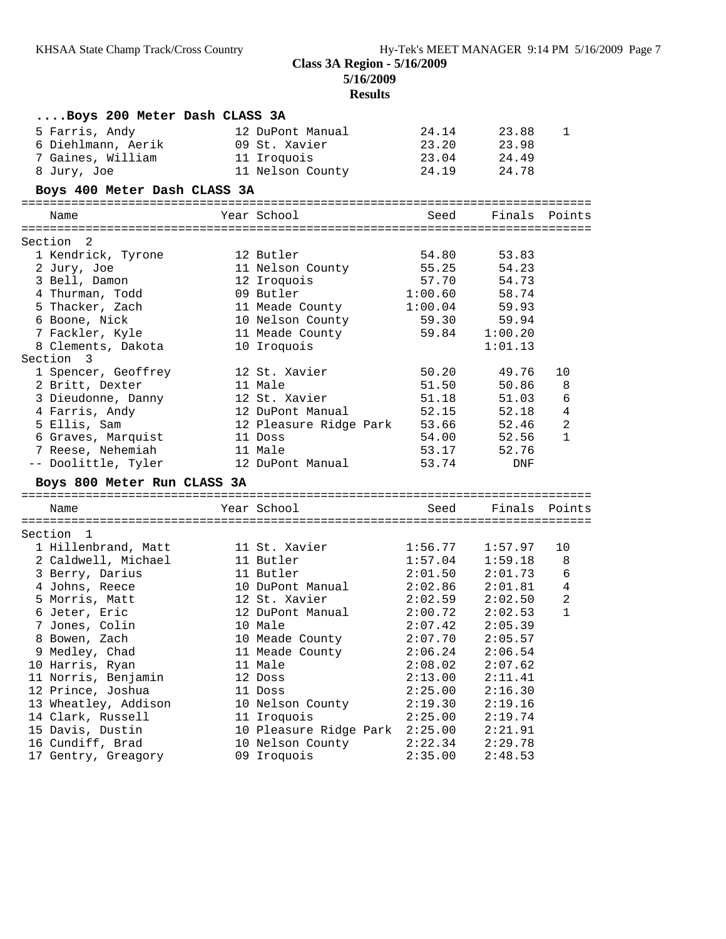## **5/16/2009 Results**

| Boys 200 Meter Dash CLASS 3A               |                                 |                    |                    |                |
|--------------------------------------------|---------------------------------|--------------------|--------------------|----------------|
| 5 Farris, Andy                             | 12 DuPont Manual                | 24.14              | 23.88              | 1              |
| 6 Diehlmann, Aerik                         | 09 St. Xavier                   | 23.20              | 23.98              |                |
| 7 Gaines, William                          | 11 Iroquois                     | 23.04              | 24.49              |                |
| 8 Jury, Joe                                | 11 Nelson County                | 24.19              | 24.78              |                |
| Boys 400 Meter Dash CLASS 3A               |                                 |                    |                    |                |
| Name                                       | Year School                     | Seed               | Finals             | Points         |
|                                            |                                 |                    |                    |                |
| Section 2                                  |                                 |                    |                    |                |
| 1 Kendrick, Tyrone                         | 12 Butler                       | 54.80              | 53.83              |                |
| 2 Jury, Joe                                | 11 Nelson County                | 55.25              | 54.23              |                |
| 3 Bell, Damon                              | 12 Iroquois                     | 57.70              | 54.73              |                |
| 4 Thurman, Todd                            | 09 Butler                       | 1:00.60            | 58.74              |                |
| 5 Thacker, Zach                            | 11 Meade County                 | 1:00.04            | 59.93              |                |
| 6 Boone, Nick                              | 10 Nelson County                | 59.30              | 59.94              |                |
| 7 Fackler, Kyle                            | 11 Meade County                 | 59.84              | 1:00.20            |                |
| 8 Clements, Dakota                         | 10 Iroquois                     |                    | 1:01.13            |                |
| Section 3                                  |                                 |                    |                    |                |
| 1 Spencer, Geoffrey                        | 12 St. Xavier                   | 50.20              | 49.76              | 10             |
| 2 Britt, Dexter                            | 11 Male                         | 51.50              | 50.86              | 8              |
| 3 Dieudonne, Danny                         | 12 St. Xavier                   | 51.18              | 51.03              | 6              |
| 4 Farris, Andy                             | 12 DuPont Manual                | 52.15              | 52.18              | 4              |
| 5 Ellis, Sam                               | 12 Pleasure Ridge Park          | 53.66              | 52.46              | $\overline{a}$ |
| 6 Graves, Marquist                         | 11 Doss                         | 54.00              | 52.56              | $\mathbf{1}$   |
| 7 Reese, Nehemiah                          | 11 Male                         | 53.17              | 52.76              |                |
| -- Doolittle, Tyler                        | 12 DuPont Manual                | 53.74              | DNF                |                |
| Boys 800 Meter Run CLASS 3A                |                                 |                    |                    |                |
| Name                                       | Year School                     | Seed               | Finals             | Points         |
|                                            |                                 |                    |                    |                |
| Section 1                                  | 11 St. Xavier                   |                    | 1:57.97            | 10             |
| 1 Hillenbrand, Matt<br>2 Caldwell, Michael | 11 Butler                       | 1:56.77<br>1:57.04 | 1:59.18            | 8              |
|                                            | 11 Butler                       | 2:01.50            | 2:01.73            |                |
| 3 Berry, Darius<br>4 Johns, Reece          | 10 DuPont Manual                | 2:02.86            | 2:01.81            | 6<br>4         |
| 5 Morris, Matt                             | 12 St. Xavier                   | 2:02.59            | 2:02.50            | $\overline{c}$ |
|                                            | 12 DuPont Manual                | 2:00.72            |                    | $\mathbf{1}$   |
| 6 Jeter, Eric                              |                                 |                    | 2:02.53            |                |
|                                            |                                 |                    |                    |                |
| 7 Jones, Colin                             | 10 Male                         | 2:07.42            | 2:05.39            |                |
| 8 Bowen, Zach                              | 10 Meade County                 | 2:07.70            | 2:05.57            |                |
| 9 Medley, Chad                             | 11 Meade County                 | 2:06.24            | 2:06.54            |                |
| 10 Harris, Ryan                            | 11 Male                         | 2:08.02            | 2:07.62            |                |
| 11 Norris, Benjamin                        | 12 Doss                         | 2:13.00            | 2:11.41            |                |
| 12 Prince, Joshua                          | 11 Doss                         | 2:25.00            | 2:16.30            |                |
| 13 Wheatley, Addison                       | 10 Nelson County                | 2:19.30            | 2:19.16            |                |
| 14 Clark, Russell                          | 11 Iroquois                     | 2:25.00            | 2:19.74            |                |
| 15 Davis, Dustin                           | 10 Pleasure Ridge Park          | 2:25.00            | 2:21.91            |                |
| 16 Cundiff, Brad<br>17 Gentry, Greagory    | 10 Nelson County<br>09 Iroquois | 2:22.34<br>2:35.00 | 2:29.78<br>2:48.53 |                |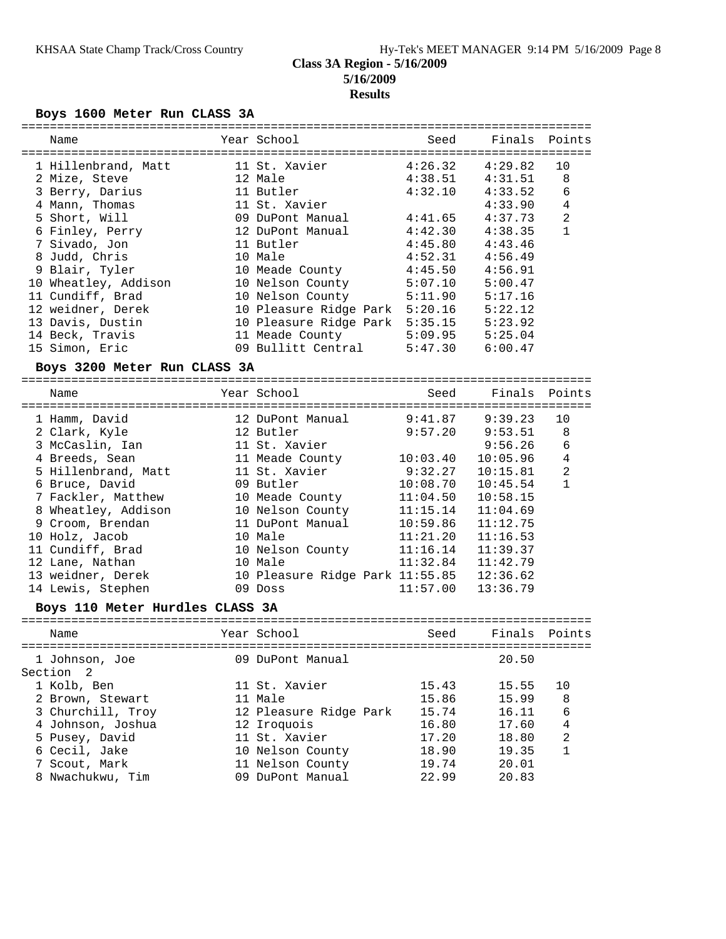## **Class 3A Region - 5/16/2009 5/16/2009 Results**

## **Boys 1600 Meter Run CLASS 3A**

| Name                            | Year School                     | Seed     | Finals Points       |                |
|---------------------------------|---------------------------------|----------|---------------------|----------------|
| 1 Hillenbrand, Matt             | 11 St. Xavier                   | 4:26.32  | 4:29.82             | 10             |
| 2 Mize, Steve                   | 12 Male                         |          | $4:38.51$ $4:31.51$ | 8              |
| 3 Berry, Darius                 | 11 Butler                       | 4:32.10  | 4:33.52             | 6              |
| 4 Mann, Thomas                  | 11 St. Xavier                   |          | 4:33.90             | $\bf 4$        |
| 5 Short, Will                   | 09 DuPont Manual                | 4:41.65  | 4:37.73             | $\sqrt{2}$     |
| 6 Finley, Perry                 | 12 DuPont Manual                | 4:42.30  | 4:38.35             | $\mathbf{1}$   |
| 7 Sivado, Jon                   | 11 Butler                       | 4:45.80  | 4:43.46             |                |
| 8 Judd, Chris                   | 10 Male                         | 4:52.31  | 4:56.49             |                |
| 9 Blair, Tyler                  | 10 Meade County                 | 4:45.50  | 4:56.91             |                |
| 10 Wheatley, Addison            | 10 Nelson County                | 5:07.10  | 5:00.47             |                |
| 11 Cundiff, Brad                | 10 Nelson County                | 5:11.90  | 5:17.16             |                |
| 12 weidner, Derek               | 10 Pleasure Ridge Park 5:20.16  |          | 5:22.12             |                |
| 13 Davis, Dustin                | 10 Pleasure Ridge Park 5:35.15  |          | 5:23.92             |                |
| 14 Beck, Travis                 | 11 Meade County 5:09.95         |          | 5:25.04             |                |
| 15 Simon, Eric                  | 09 Bullitt Central 5:47.30      |          | 6:00.47             |                |
| Boys 3200 Meter Run CLASS 3A    |                                 |          |                     |                |
| Name                            | Year School                     | Seed     | Finals              | Points         |
| 1 Hamm, David                   | 12 DuPont Manual                | 9:41.87  | 9:39.23             | 10             |
| 2 Clark, Kyle                   | 12 Butler                       | 9:57.20  | 9:53.51             | 8              |
| 3 McCaslin, Ian                 | 11 St. Xavier                   |          | 9:56.26             | 6              |
| 4 Breeds, Sean                  | 11 Meade County 10:03.40        |          | 10:05.96            | $\,4$          |
| 5 Hillenbrand, Matt             | 11 St. Xavier                   | 9:32.27  | 10:15.81            | $\overline{2}$ |
| 6 Bruce, David                  | 09 Butler                       | 10:08.70 | 10:45.54            | $\mathbf{1}$   |
| 7 Fackler, Matthew              | 10 Meade County                 | 11:04.50 | 10:58.15            |                |
| 8 Wheatley, Addison             | 10 Nelson County                | 11:15.14 | 11:04.69            |                |
| 9 Croom, Brendan                | 11 DuPont Manual                | 10:59.86 | 11:12.75            |                |
| 10 Holz, Jacob                  | 10 Male                         | 11:21.20 | 11:16.53            |                |
| 11 Cundiff, Brad                | 10 Nelson County                | 11:16.14 | 11:39.37            |                |
| 12 Lane, Nathan                 | 10 Male                         | 11:32.84 | 11:42.79            |                |
| 13 weidner, Derek               | 10 Pleasure Ridge Park 11:55.85 |          | 12:36.62            |                |
| 14 Lewis, Stephen               | 09 Doss                         | 11:57.00 | 13:36.79            |                |
| Boys 110 Meter Hurdles CLASS 3A |                                 |          |                     |                |
| Name                            | Year School                     | Seed     | Finals              | Points         |
|                                 |                                 |          |                     |                |
| 1 Johnson, Joe                  | 09 DuPont Manual                |          | 20.50               |                |
| Section<br>-2                   |                                 |          |                     |                |
| 1 Kolb, Ben                     | 11 St. Xavier                   | 15.43    | 15.55               | 10             |
| 2 Brown, Stewart                | 11 Male                         | 15.86    | 15.99               | 8              |
| 3 Churchill, Troy               | 12 Pleasure Ridge Park          | 15.74    | 16.11               | 6              |
| 4 Johnson, Joshua               | 12 Iroquois                     | 16.80    | 17.60               | $\,4$          |
| 5 Pusey, David                  | 11 St. Xavier                   | 17.20    | 18.80               | 2              |
| 6 Cecil, Jake                   | 10 Nelson County                | 18.90    | 19.35               | $\mathbf{1}$   |
| 7 Scout, Mark                   | 11 Nelson County                | 19.74    | 20.01               |                |
| 8 Nwachukwu, Tim                | 09 DuPont Manual                | 22.99    | 20.83               |                |
|                                 |                                 |          |                     |                |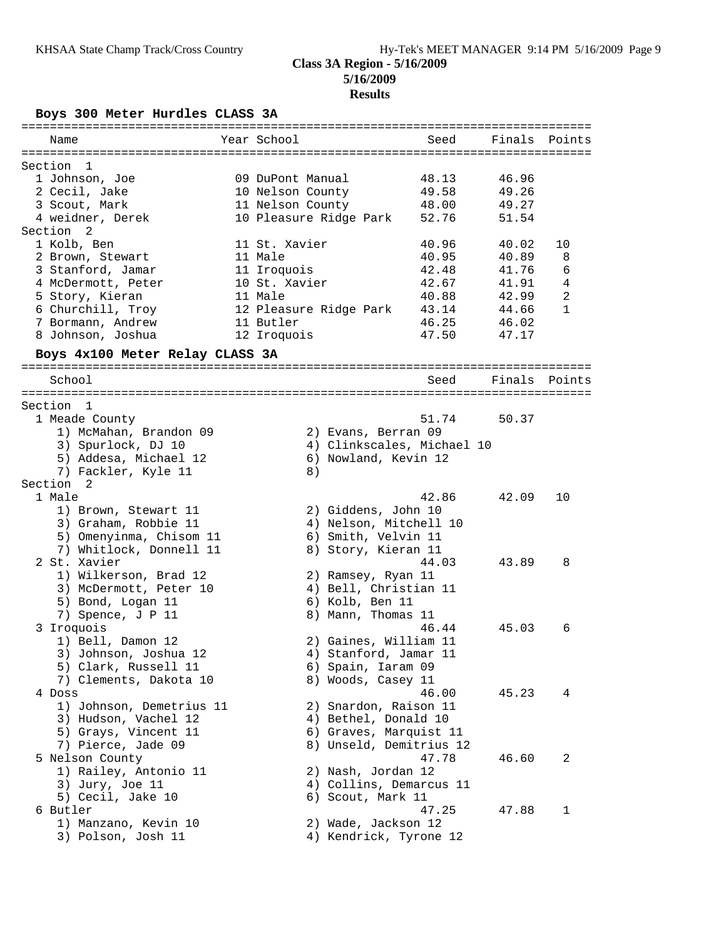## **Class 3A Region - 5/16/2009 5/16/2009 Results**

**Boys 300 Meter Hurdles CLASS 3A**

| Name                                        | Year School            | Seed                       | Finals | Points         |
|---------------------------------------------|------------------------|----------------------------|--------|----------------|
|                                             |                        |                            |        |                |
| Section<br>1                                |                        |                            |        |                |
| 1 Johnson, Joe                              | 09 DuPont Manual       | 48.13                      | 46.96  |                |
| 2 Cecil, Jake                               | 10 Nelson County       | 49.58                      | 49.26  |                |
| 3 Scout, Mark                               | 11 Nelson County       | 48.00                      | 49.27  |                |
| 4 weidner, Derek                            | 10 Pleasure Ridge Park | 52.76                      | 51.54  |                |
| Section <sub>2</sub>                        |                        |                            |        |                |
| 1 Kolb, Ben                                 | 11 St. Xavier          | 40.96                      | 40.02  | 10             |
| 2 Brown, Stewart                            | 11 Male                | 40.95                      | 40.89  | 8              |
| 3 Stanford, Jamar                           | 11 Iroquois            | 42.48                      | 41.76  | 6              |
| 4 McDermott, Peter                          | 10 St. Xavier          | 42.67                      | 41.91  | $\overline{4}$ |
| 5 Story, Kieran                             | 11 Male                | 40.88                      | 42.99  | $\mathbf{2}$   |
| 6 Churchill, Troy                           | 12 Pleasure Ridge Park | 43.14                      | 44.66  | 1              |
| 7 Bormann, Andrew<br>8 Johnson, Joshua      | 11 Butler              | 46.25                      | 46.02  |                |
|                                             | 12 Iroquois            | 47.50                      | 47.17  |                |
| Boys 4x100 Meter Relay CLASS 3A             |                        |                            |        |                |
| School                                      |                        | Seed                       | Finals | Points         |
|                                             |                        |                            |        |                |
| Section 1                                   |                        |                            |        |                |
| 1 Meade County                              |                        | 51.74                      | 50.37  |                |
| 1) McMahan, Brandon 09                      |                        | 2) Evans, Berran 09        |        |                |
| 3) Spurlock, DJ 10                          |                        | 4) Clinkscales, Michael 10 |        |                |
| 5) Addesa, Michael 12                       |                        | 6) Nowland, Kevin 12       |        |                |
| 7) Fackler, Kyle 11<br>Section <sub>2</sub> | 8)                     |                            |        |                |
| 1 Male                                      |                        | 42.86                      | 42.09  | 10             |
| 1) Brown, Stewart 11                        |                        | 2) Giddens, John 10        |        |                |
| 3) Graham, Robbie 11                        |                        | 4) Nelson, Mitchell 10     |        |                |
| 5) Omenyinma, Chisom 11                     |                        | 6) Smith, Velvin 11        |        |                |
| 7) Whitlock, Donnell 11                     |                        | 8) Story, Kieran 11        |        |                |
| 2 St. Xavier                                |                        | 44.03                      | 43.89  | 8              |
| 1) Wilkerson, Brad 12                       |                        | 2) Ramsey, Ryan 11         |        |                |
| 3) McDermott, Peter 10                      |                        | 4) Bell, Christian 11      |        |                |
| 5) Bond, Logan 11                           |                        | 6) Kolb, Ben 11            |        |                |
| 7) Spence, J P 11                           |                        | 8) Mann, Thomas 11         |        |                |
| 3 Iroquois                                  |                        | 46.44                      | 45.03  | 6              |
| 1) Bell, Damon 12                           |                        | 2) Gaines, William 11      |        |                |
| 3) Johnson, Joshua 12                       |                        | 4) Stanford, Jamar 11      |        |                |
| 5) Clark, Russell 11                        |                        | 6) Spain, Iaram 09         |        |                |
| 7) Clements, Dakota 10                      |                        | 8) Woods, Casey 11         |        |                |
| 4 Doss                                      |                        | 46.00                      | 45.23  | 4              |
| 1) Johnson, Demetrius 11                    |                        | 2) Snardon, Raison 11      |        |                |
| 3) Hudson, Vachel 12                        |                        | 4) Bethel, Donald 10       |        |                |
| 5) Grays, Vincent 11                        |                        | 6) Graves, Marquist 11     |        |                |
| 7) Pierce, Jade 09                          |                        | 8) Unseld, Demitrius 12    |        |                |
| 5 Nelson County                             |                        | 47.78                      | 46.60  | 2              |
| 1) Railey, Antonio 11                       |                        | 2) Nash, Jordan 12         |        |                |
| 3) Jury, Joe 11                             |                        | 4) Collins, Demarcus 11    |        |                |
| 5) Cecil, Jake 10                           |                        | 6) Scout, Mark 11          |        |                |
| 6 Butler                                    |                        | 47.25                      | 47.88  | 1              |
| 1) Manzano, Kevin 10                        |                        | 2) Wade, Jackson 12        |        |                |
| 3) Polson, Josh 11                          |                        | 4) Kendrick, Tyrone 12     |        |                |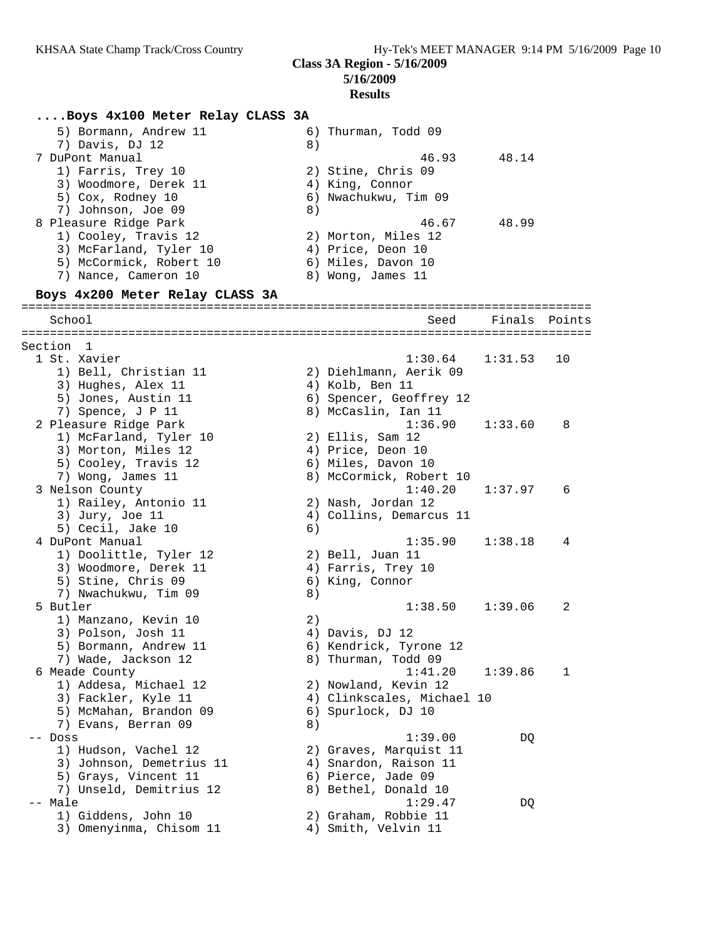# **Results**

| Boys 4x100 Meter Relay CLASS 3A             |    |                                           |               |    |
|---------------------------------------------|----|-------------------------------------------|---------------|----|
| 5) Bormann, Andrew 11                       |    | 6) Thurman, Todd 09                       |               |    |
| 7) Davis, DJ 12                             | 8) |                                           |               |    |
| 7 DuPont Manual                             |    | 46.93                                     | 48.14         |    |
| 1) Farris, Trey 10                          |    | 2) Stine, Chris 09                        |               |    |
| 3) Woodmore, Derek 11                       |    | 4) King, Connor                           |               |    |
| 5) Cox, Rodney 10                           |    | 6) Nwachukwu, Tim 09                      |               |    |
| 7) Johnson, Joe 09                          | 8) |                                           |               |    |
| 8 Pleasure Ridge Park                       |    | 46.67                                     | 48.99         |    |
| 1) Cooley, Travis 12                        |    | 2) Morton, Miles 12                       |               |    |
| 3) McFarland, Tyler 10                      |    | 4) Price, Deon 10                         |               |    |
| 5) McCormick, Robert 10                     |    | 6) Miles, Davon 10                        |               |    |
| 7) Nance, Cameron 10                        |    | 8) Wong, James 11                         |               |    |
| Boys 4x200 Meter Relay CLASS 3A             |    |                                           |               |    |
| School                                      |    | Seed                                      | Finals Points |    |
|                                             |    |                                           |               |    |
| Section 1                                   |    |                                           |               |    |
| 1 St. Xavier                                |    | 1:30.64                                   | 1:31.53       | 10 |
| 1) Bell, Christian 11<br>3) Hughes, Alex 11 |    | 2) Diehlmann, Aerik 09<br>4) Kolb, Ben 11 |               |    |
| 5) Jones, Austin 11                         |    | 6) Spencer, Geoffrey 12                   |               |    |
| 7) Spence, J P 11                           |    | 8) McCaslin, Ian 11                       |               |    |
| 2 Pleasure Ridge Park                       |    | 1:36.90                                   | 1:33.60       | 8  |
| 1) McFarland, Tyler 10                      |    | $2)$ Ellis, Sam 12                        |               |    |
| 3) Morton, Miles 12                         |    | 4) Price, Deon 10                         |               |    |
| 5) Cooley, Travis 12                        |    | 6) Miles, Davon 10                        |               |    |
| 7) Wong, James 11                           |    | 8) McCormick, Robert 10                   |               |    |
| 3 Nelson County                             |    | 1:40.20                                   | 1:37.97       | 6  |
| 1) Railey, Antonio 11                       |    | 2) Nash, Jordan 12                        |               |    |
| 3) Jury, Joe 11                             |    | 4) Collins, Demarcus 11                   |               |    |
| 5) Cecil, Jake 10                           | 6) |                                           |               |    |
| 4 DuPont Manual                             |    | 1:35.90                                   | 1:38.18       | 4  |
| 1) Doolittle, Tyler 12                      |    | 2) Bell, Juan 11                          |               |    |
| 3) Woodmore, Derek 11                       |    | 4) Farris, Trey 10                        |               |    |
| 5) Stine, Chris 09<br>7) Nwachukwu, Tim 09  |    | 6) King, Connor                           |               |    |
| 5 Butler                                    | 8) | 1:38.50                                   | 1:39.06       | 2  |
| 1) Manzano, Kevin 10                        | 2) |                                           |               |    |
| 3) Polson, Josh 11                          |    | 4) Davis, DJ 12                           |               |    |
| 5) Bormann, Andrew 11                       |    | 6) Kendrick, Tyrone 12                    |               |    |
| 7) Wade, Jackson 12                         |    | 8) Thurman, Todd 09                       |               |    |
| 6 Meade County                              |    | 1:41.20                                   | 1:39.86       | 1  |
| 1) Addesa, Michael 12                       |    | 2) Nowland, Kevin 12                      |               |    |
| 3) Fackler, Kyle 11                         |    | 4) Clinkscales, Michael 10                |               |    |
| 5) McMahan, Brandon 09                      |    | 6) Spurlock, DJ 10                        |               |    |
| 7) Evans, Berran 09                         | 8) |                                           |               |    |
| -- Doss                                     |    | 1:39.00                                   | DQ            |    |
| 1) Hudson, Vachel 12                        |    | 2) Graves, Marquist 11                    |               |    |
| 3) Johnson, Demetrius 11                    |    | 4) Snardon, Raison 11                     |               |    |
| 5) Grays, Vincent 11                        |    | 6) Pierce, Jade 09                        |               |    |
| 7) Unseld, Demitrius 12                     |    | 8) Bethel, Donald 10                      |               |    |
| -- Male                                     |    | 1:29.47                                   | DQ            |    |
| 1) Giddens, John 10                         |    | 2) Graham, Robbie 11                      |               |    |
| 3) Omenyinma, Chisom 11                     |    | 4) Smith, Velvin 11                       |               |    |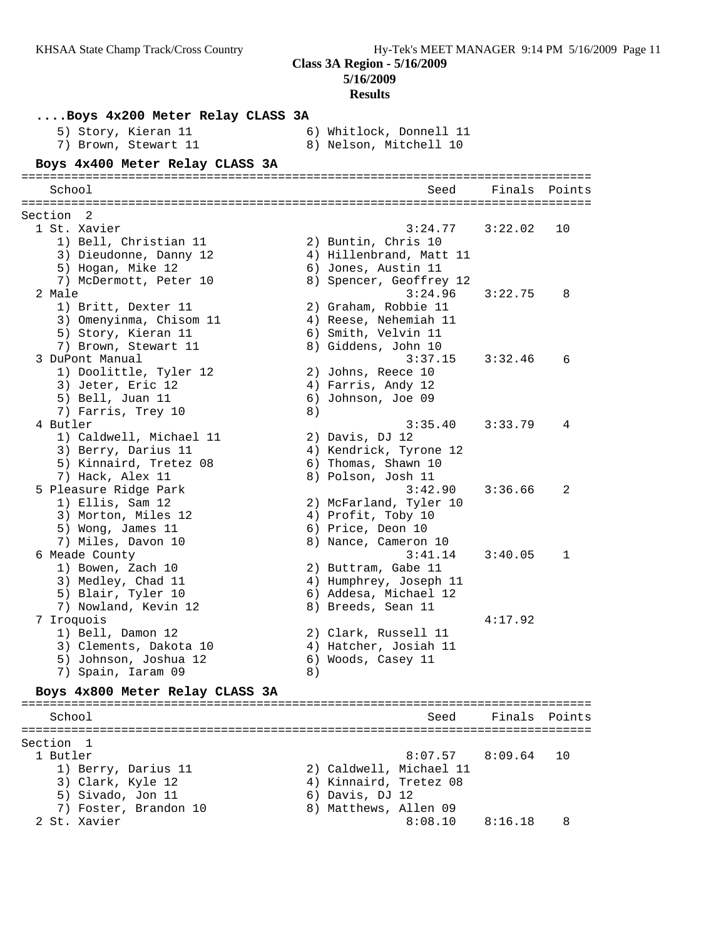# **Results**

| Boys 4x200 Meter Relay CLASS 3A          |    |                         |               |    |
|------------------------------------------|----|-------------------------|---------------|----|
| 5) Story, Kieran 11                      |    | 6) Whitlock, Donnell 11 |               |    |
| 7) Brown, Stewart 11                     |    | 8) Nelson, Mitchell 10  |               |    |
| Boys 4x400 Meter Relay CLASS 3A          |    |                         |               |    |
|                                          |    |                         |               |    |
| School                                   |    | Seed                    | Finals Points |    |
| Section 2                                |    |                         |               |    |
| 1 St. Xavier                             |    | 3:24.77                 | 3:22.02       | 10 |
| 1) Bell, Christian 11                    |    | 2) Buntin, Chris 10     |               |    |
| 3) Dieudonne, Danny 12                   |    | 4) Hillenbrand, Matt 11 |               |    |
| 5) Hogan, Mike 12                        |    | 6) Jones, Austin 11     |               |    |
| 7) McDermott, Peter 10                   |    | 8) Spencer, Geoffrey 12 |               |    |
| 2 Male                                   |    | 3:24.96                 | 3:22.75       | 8  |
| 1) Britt, Dexter 11                      |    | 2) Graham, Robbie 11    |               |    |
| 3) Omenyinma, Chisom 11                  |    | 4) Reese, Nehemiah 11   |               |    |
| 5) Story, Kieran 11                      |    | 6) Smith, Velvin 11     |               |    |
| 7) Brown, Stewart 11                     |    | 8) Giddens, John 10     |               |    |
| 3 DuPont Manual                          |    | 3:37.15                 | 3:32.46       | 6  |
| 1) Doolittle, Tyler 12                   |    | 2) Johns, Reece 10      |               |    |
| 3) Jeter, Eric 12                        |    | 4) Farris, Andy 12      |               |    |
| 5) Bell, Juan 11<br>7) Farris, Trey 10   | 8) | 6) Johnson, Joe 09      |               |    |
| 4 Butler                                 |    | 3:35.40                 | 3:33.79       | 4  |
| 1) Caldwell, Michael 11                  |    | 2) Davis, DJ 12         |               |    |
| 3) Berry, Darius 11                      |    | 4) Kendrick, Tyrone 12  |               |    |
| 5) Kinnaird, Tretez 08                   |    | 6) Thomas, Shawn 10     |               |    |
| 7) Hack, Alex 11                         |    | 8) Polson, Josh 11      |               |    |
| 5 Pleasure Ridge Park                    |    | 3:42.90                 | 3:36.66       | 2  |
| 1) Ellis, Sam 12                         |    | 2) McFarland, Tyler 10  |               |    |
| 3) Morton, Miles 12                      |    | 4) Profit, Toby 10      |               |    |
| 5) Wong, James 11                        |    | 6) Price, Deon 10       |               |    |
| 7) Miles, Davon 10                       |    | 8) Nance, Cameron 10    |               |    |
| 6 Meade County                           |    | 3:41.14                 | 3:40.05       | 1  |
| 1) Bowen, Zach 10                        |    | 2) Buttram, Gabe 11     |               |    |
| 3) Medley, Chad 11                       |    | 4) Humphrey, Joseph 11  |               |    |
| 5) Blair, Tyler 10                       |    | 6) Addesa, Michael 12   |               |    |
| 7) Nowland, Kevin 12                     |    | 8) Breeds, Sean 11      |               |    |
| 7 Iroquois                               |    |                         | 4:17.92       |    |
| 1) Bell, Damon 12                        |    | 2) Clark, Russell 11    |               |    |
| 3) Clements, Dakota 10                   |    | 4) Hatcher, Josiah 11   |               |    |
| 5) Johnson, Joshua 12                    |    | 6) Woods, Casey 11      |               |    |
| 7) Spain, Iaram 09                       | 8) |                         |               |    |
| Boys 4x800 Meter Relay CLASS 3A          |    |                         |               |    |
|                                          |    | ======================  |               |    |
| School                                   |    | Seed                    | Finals Points |    |
|                                          |    |                         |               |    |
| Section 1<br>1 Butler                    |    | 8:07.57                 | 8:09.64       | 10 |
|                                          |    | 2) Caldwell, Michael 11 |               |    |
| 1) Berry, Darius 11<br>3) Clark, Kyle 12 |    | 4) Kinnaird, Tretez 08  |               |    |
| 5) Sivado, Jon 11                        |    | 6) Davis, DJ 12         |               |    |
| 7) Foster, Brandon 10                    |    | 8) Matthews, Allen 09   |               |    |
| 2 St. Xavier                             |    | 8:08.10                 | 8:16.18       | 8  |
|                                          |    |                         |               |    |